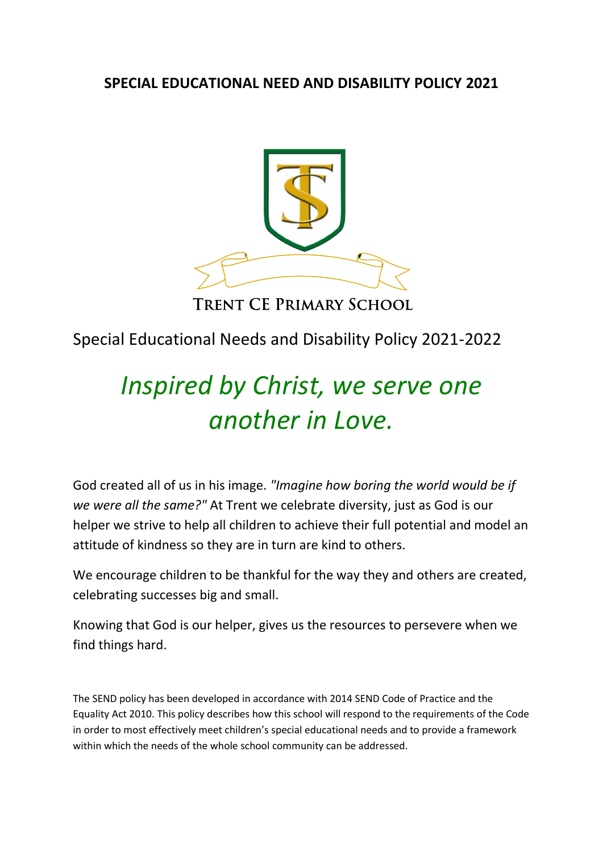## **SPECIAL EDUCATIONAL NEED AND DISABILITY POLICY 2021**



# TRENT CE PRIMARY SCHOOL

# Special Educational Needs and Disability Policy 2021-2022

# *Inspired by Christ, we serve one another in Love.*

God created all of us in his image. *"Imagine how boring the world would be if we were all the same?"* At Trent we celebrate diversity, just as God is our helper we strive to help all children to achieve their full potential and model an attitude of kindness so they are in turn are kind to others.

We encourage children to be thankful for the way they and others are created, celebrating successes big and small.

Knowing that God is our helper, gives us the resources to persevere when we find things hard.

The SEND policy has been developed in accordance with 2014 SEND Code of Practice and the Equality Act 2010. This policy describes how this school will respond to the requirements of the Code in order to most effectively meet children's special educational needs and to provide a framework within which the needs of the whole school community can be addressed.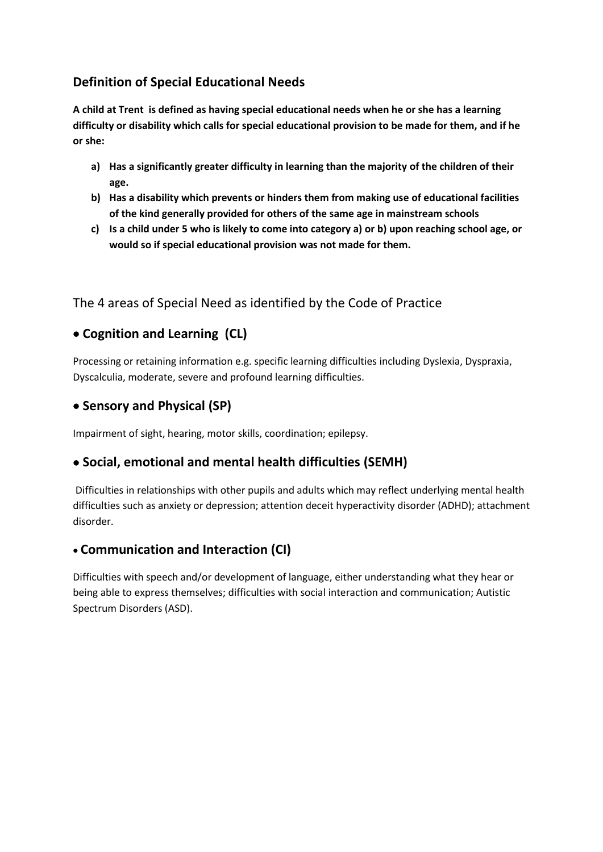## **Definition of Special Educational Needs**

**A child at Trent is defined as having special educational needs when he or she has a learning difficulty or disability which calls for special educational provision to be made for them, and if he or she:**

- **a) Has a significantly greater difficulty in learning than the majority of the children of their age.**
- **b) Has a disability which prevents or hinders them from making use of educational facilities of the kind generally provided for others of the same age in mainstream schools**
- **c) Is a child under 5 who is likely to come into category a) or b) upon reaching school age, or would so if special educational provision was not made for them.**

The 4 areas of Special Need as identified by the Code of Practice

## **Cognition and Learning (CL)**

Processing or retaining information e.g. specific learning difficulties including Dyslexia, Dyspraxia, Dyscalculia, moderate, severe and profound learning difficulties.

#### **• Sensory and Physical (SP)**

Impairment of sight, hearing, motor skills, coordination; epilepsy.

## **Social, emotional and mental health difficulties (SEMH)**

Difficulties in relationships with other pupils and adults which may reflect underlying mental health difficulties such as anxiety or depression; attention deceit hyperactivity disorder (ADHD); attachment disorder.

## **Communication and Interaction (CI)**

Difficulties with speech and/or development of language, either understanding what they hear or being able to express themselves; difficulties with social interaction and communication; Autistic Spectrum Disorders (ASD).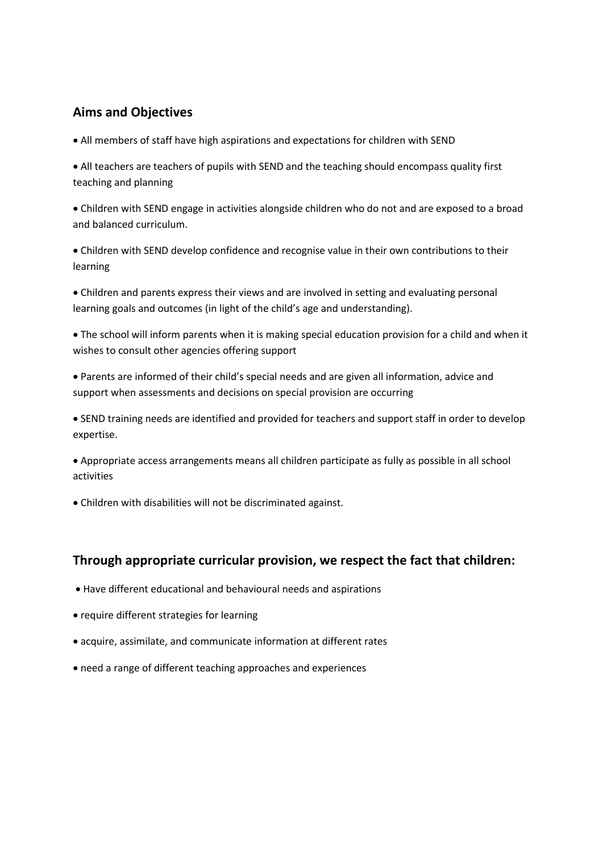#### **Aims and Objectives**

All members of staff have high aspirations and expectations for children with SEND

 All teachers are teachers of pupils with SEND and the teaching should encompass quality first teaching and planning

 Children with SEND engage in activities alongside children who do not and are exposed to a broad and balanced curriculum.

 Children with SEND develop confidence and recognise value in their own contributions to their learning

 Children and parents express their views and are involved in setting and evaluating personal learning goals and outcomes (in light of the child's age and understanding).

 The school will inform parents when it is making special education provision for a child and when it wishes to consult other agencies offering support

 Parents are informed of their child's special needs and are given all information, advice and support when assessments and decisions on special provision are occurring

 SEND training needs are identified and provided for teachers and support staff in order to develop expertise.

 Appropriate access arrangements means all children participate as fully as possible in all school activities

Children with disabilities will not be discriminated against.

#### **Through appropriate curricular provision, we respect the fact that children:**

- Have different educational and behavioural needs and aspirations
- require different strategies for learning
- acquire, assimilate, and communicate information at different rates
- need a range of different teaching approaches and experiences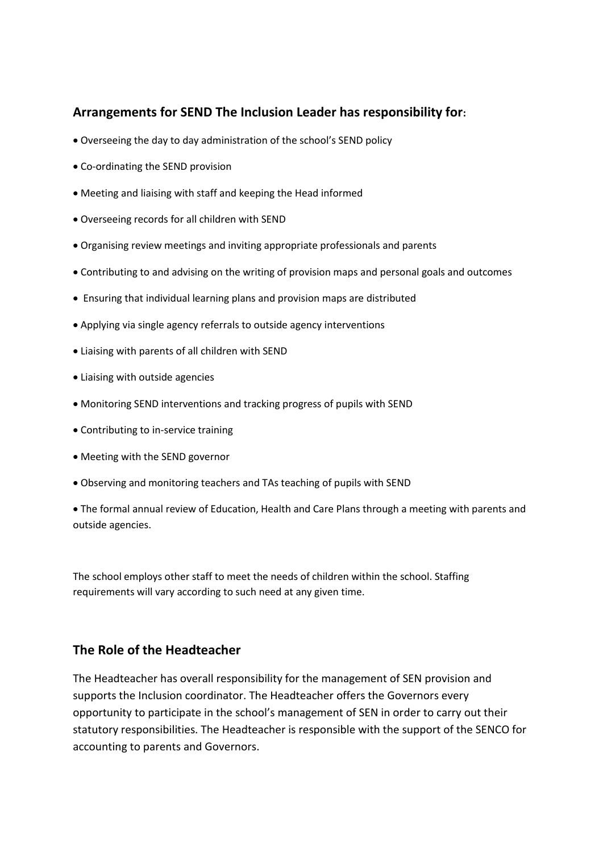#### **Arrangements for SEND The Inclusion Leader has responsibility for:**

- Overseeing the day to day administration of the school's SEND policy
- Co-ordinating the SEND provision
- Meeting and liaising with staff and keeping the Head informed
- Overseeing records for all children with SEND
- Organising review meetings and inviting appropriate professionals and parents
- Contributing to and advising on the writing of provision maps and personal goals and outcomes
- Ensuring that individual learning plans and provision maps are distributed
- Applying via single agency referrals to outside agency interventions
- Liaising with parents of all children with SEND
- Liaising with outside agencies
- Monitoring SEND interventions and tracking progress of pupils with SEND
- Contributing to in-service training
- Meeting with the SEND governor
- Observing and monitoring teachers and TAs teaching of pupils with SEND

 The formal annual review of Education, Health and Care Plans through a meeting with parents and outside agencies.

The school employs other staff to meet the needs of children within the school. Staffing requirements will vary according to such need at any given time.

#### **The Role of the Headteacher**

The Headteacher has overall responsibility for the management of SEN provision and supports the Inclusion coordinator. The Headteacher offers the Governors every opportunity to participate in the school's management of SEN in order to carry out their statutory responsibilities. The Headteacher is responsible with the support of the SENCO for accounting to parents and Governors.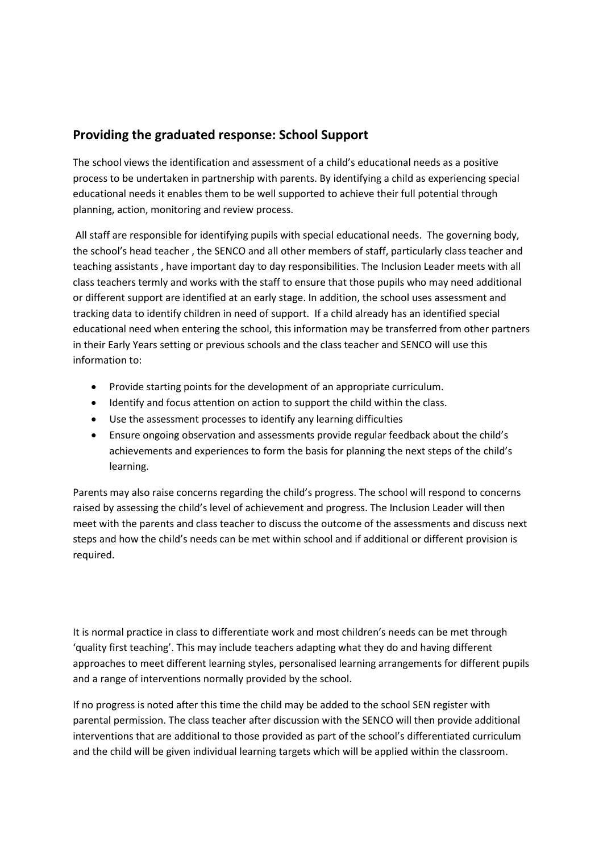#### **Providing the graduated response: School Support**

The school views the identification and assessment of a child's educational needs as a positive process to be undertaken in partnership with parents. By identifying a child as experiencing special educational needs it enables them to be well supported to achieve their full potential through planning, action, monitoring and review process.

All staff are responsible for identifying pupils with special educational needs. The governing body, the school's head teacher , the SENCO and all other members of staff, particularly class teacher and teaching assistants , have important day to day responsibilities. The Inclusion Leader meets with all class teachers termly and works with the staff to ensure that those pupils who may need additional or different support are identified at an early stage. In addition, the school uses assessment and tracking data to identify children in need of support. If a child already has an identified special educational need when entering the school, this information may be transferred from other partners in their Early Years setting or previous schools and the class teacher and SENCO will use this information to:

- Provide starting points for the development of an appropriate curriculum.
- Identify and focus attention on action to support the child within the class.
- Use the assessment processes to identify any learning difficulties
- Ensure ongoing observation and assessments provide regular feedback about the child's achievements and experiences to form the basis for planning the next steps of the child's learning.

Parents may also raise concerns regarding the child's progress. The school will respond to concerns raised by assessing the child's level of achievement and progress. The Inclusion Leader will then meet with the parents and class teacher to discuss the outcome of the assessments and discuss next steps and how the child's needs can be met within school and if additional or different provision is required.

It is normal practice in class to differentiate work and most children's needs can be met through 'quality first teaching'. This may include teachers adapting what they do and having different approaches to meet different learning styles, personalised learning arrangements for different pupils and a range of interventions normally provided by the school.

If no progress is noted after this time the child may be added to the school SEN register with parental permission. The class teacher after discussion with the SENCO will then provide additional interventions that are additional to those provided as part of the school's differentiated curriculum and the child will be given individual learning targets which will be applied within the classroom.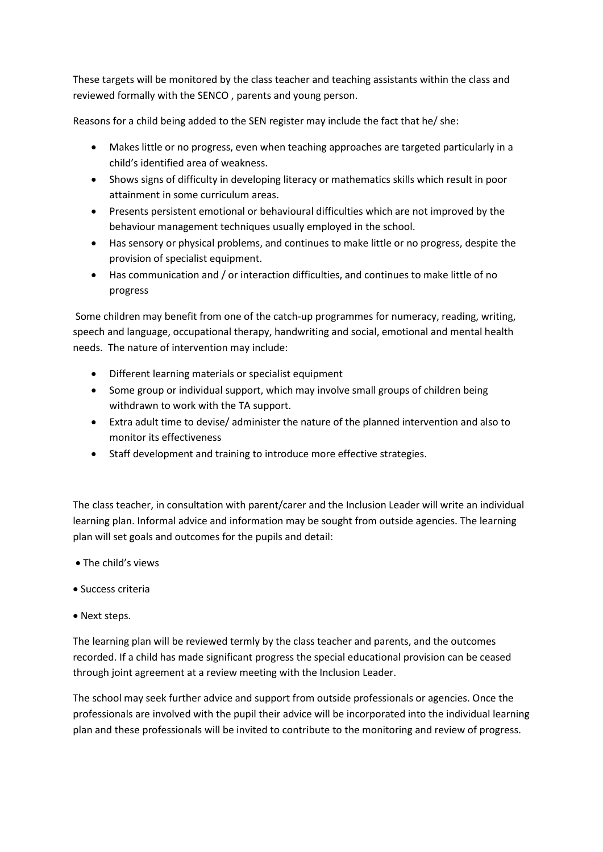These targets will be monitored by the class teacher and teaching assistants within the class and reviewed formally with the SENCO , parents and young person.

Reasons for a child being added to the SEN register may include the fact that he/ she:

- Makes little or no progress, even when teaching approaches are targeted particularly in a child's identified area of weakness.
- Shows signs of difficulty in developing literacy or mathematics skills which result in poor attainment in some curriculum areas.
- Presents persistent emotional or behavioural difficulties which are not improved by the behaviour management techniques usually employed in the school.
- Has sensory or physical problems, and continues to make little or no progress, despite the provision of specialist equipment.
- Has communication and / or interaction difficulties, and continues to make little of no progress

Some children may benefit from one of the catch-up programmes for numeracy, reading, writing, speech and language, occupational therapy, handwriting and social, emotional and mental health needs. The nature of intervention may include:

- Different learning materials or specialist equipment
- Some group or individual support, which may involve small groups of children being withdrawn to work with the TA support.
- Extra adult time to devise/ administer the nature of the planned intervention and also to monitor its effectiveness
- Staff development and training to introduce more effective strategies.

The class teacher, in consultation with parent/carer and the Inclusion Leader will write an individual learning plan. Informal advice and information may be sought from outside agencies. The learning plan will set goals and outcomes for the pupils and detail:

- The child's views
- Success criteria
- Next steps.

The learning plan will be reviewed termly by the class teacher and parents, and the outcomes recorded. If a child has made significant progress the special educational provision can be ceased through joint agreement at a review meeting with the Inclusion Leader.

The school may seek further advice and support from outside professionals or agencies. Once the professionals are involved with the pupil their advice will be incorporated into the individual learning plan and these professionals will be invited to contribute to the monitoring and review of progress.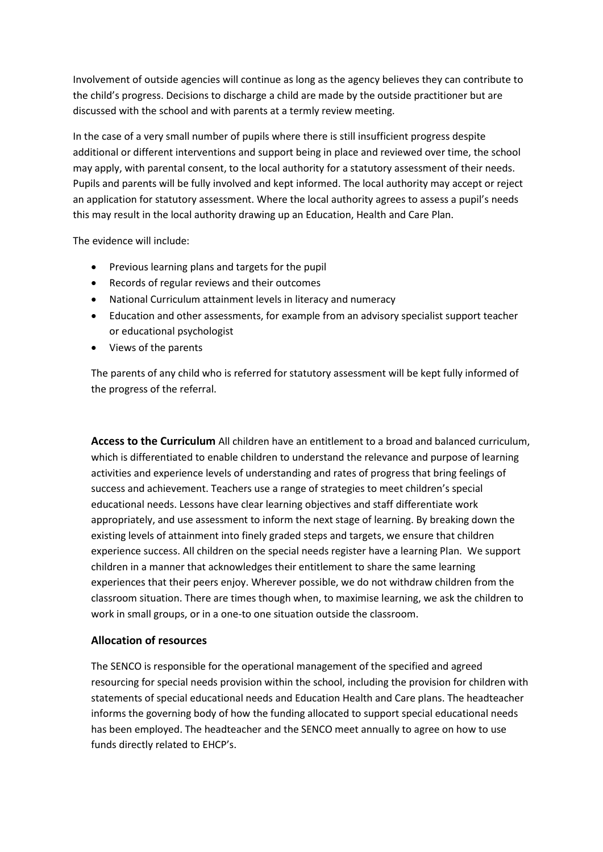Involvement of outside agencies will continue as long as the agency believes they can contribute to the child's progress. Decisions to discharge a child are made by the outside practitioner but are discussed with the school and with parents at a termly review meeting.

In the case of a very small number of pupils where there is still insufficient progress despite additional or different interventions and support being in place and reviewed over time, the school may apply, with parental consent, to the local authority for a statutory assessment of their needs. Pupils and parents will be fully involved and kept informed. The local authority may accept or reject an application for statutory assessment. Where the local authority agrees to assess a pupil's needs this may result in the local authority drawing up an Education, Health and Care Plan.

The evidence will include:

- Previous learning plans and targets for the pupil
- Records of regular reviews and their outcomes
- National Curriculum attainment levels in literacy and numeracy
- Education and other assessments, for example from an advisory specialist support teacher or educational psychologist
- Views of the parents

The parents of any child who is referred for statutory assessment will be kept fully informed of the progress of the referral.

**Access to the Curriculum** All children have an entitlement to a broad and balanced curriculum, which is differentiated to enable children to understand the relevance and purpose of learning activities and experience levels of understanding and rates of progress that bring feelings of success and achievement. Teachers use a range of strategies to meet children's special educational needs. Lessons have clear learning objectives and staff differentiate work appropriately, and use assessment to inform the next stage of learning. By breaking down the existing levels of attainment into finely graded steps and targets, we ensure that children experience success. All children on the special needs register have a learning Plan. We support children in a manner that acknowledges their entitlement to share the same learning experiences that their peers enjoy. Wherever possible, we do not withdraw children from the classroom situation. There are times though when, to maximise learning, we ask the children to work in small groups, or in a one-to one situation outside the classroom.

#### **Allocation of resources**

The SENCO is responsible for the operational management of the specified and agreed resourcing for special needs provision within the school, including the provision for children with statements of special educational needs and Education Health and Care plans. The headteacher informs the governing body of how the funding allocated to support special educational needs has been employed. The headteacher and the SENCO meet annually to agree on how to use funds directly related to EHCP's.